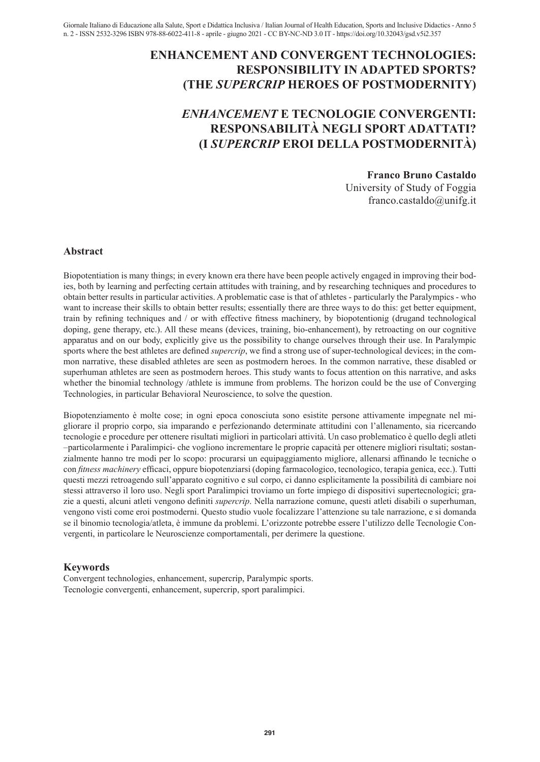# **ENHANCEMENT AND CONVERGENT TECHNOLOGIES: RESPONSIBILITY IN ADAPTED SPORTS? (THE** *SUPERCRIP* **HEROES OF POSTMODERNITY)**

# *ENHANCEMENT* **E TECNOLOGIE CONVERGENTI: RESPONSABILITÀ NEGLI SPORT ADATTATI? (I** *SUPERCRIP* **EROI DELLA POSTMODERNITÀ)**

## **Franco Bruno Castaldo**

University of Study of Foggia franco.castaldo@unifg.it

#### **Abstract**

Biopotentiation is many things; in every known era there have been people actively engaged in improving their bodies, both by learning and perfecting certain attitudes with training, and by researching techniques and procedures to obtain better results in particular activities. A problematic case is that of athletes - particularly the Paralympics - who want to increase their skills to obtain better results; essentially there are three ways to do this: get better equipment, train by refining techniques and / or with effective fitness machinery, by biopotentionig (drugand technological doping, gene therapy, etc.). All these means (devices, training, bio-enhancement), by retroacting on our cognitive apparatus and on our body, explicitly give us the possibility to change ourselves through their use. In Paralympic sports where the best athletes are defined *supercrip*, we find a strong use of super-technological devices; in the common narrative, these disabled athletes are seen as postmodern heroes. In the common narrative, these disabled or superhuman athletes are seen as postmodern heroes. This study wants to focus attention on this narrative, and asks whether the binomial technology /athlete is immune from problems. The horizon could be the use of Converging Technologies, in particular Behavioral Neuroscience, to solve the question.

Biopotenziamento è molte cose; in ogni epoca conosciuta sono esistite persone attivamente impegnate nel migliorare il proprio corpo, sia imparando e perfezionando determinate attitudini con l'allenamento, sia ricercando tecnologie e procedure per ottenere risultati migliori in particolari attività. Un caso problematico è quello degli atleti –particolarmente i Paralimpici- che vogliono incrementare le proprie capacità per ottenere migliori risultati; sostanzialmente hanno tre modi per lo scopo: procurarsi un equipaggiamento migliore, allenarsi affinando le tecniche o con *fitness machinery* efficaci, oppure biopotenziarsi (doping farmacologico, tecnologico, terapia genica, ecc.). Tutti questi mezzi retroagendo sull'apparato cognitivo e sul corpo, ci danno esplicitamente la possibilità di cambiare noi stessi attraverso il loro uso. Negli sport Paralimpici troviamo un forte impiego di dispositivi supertecnologici; grazie a questi, alcuni atleti vengono definiti *supercrip*. Nella narrazione comune, questi atleti disabili o superhuman, vengono visti come eroi postmoderni. Questo studio vuole focalizzare l'attenzione su tale narrazione, e si domanda se il binomio tecnologia/atleta, è immune da problemi. L'orizzonte potrebbe essere l'utilizzo delle Tecnologie Convergenti, in particolare le Neuroscienze comportamentali, per derimere la questione.

# **Keywords**

Convergent technologies, enhancement, supercrip, Paralympic sports. Tecnologie convergenti, enhancement, supercrip, sport paralimpici.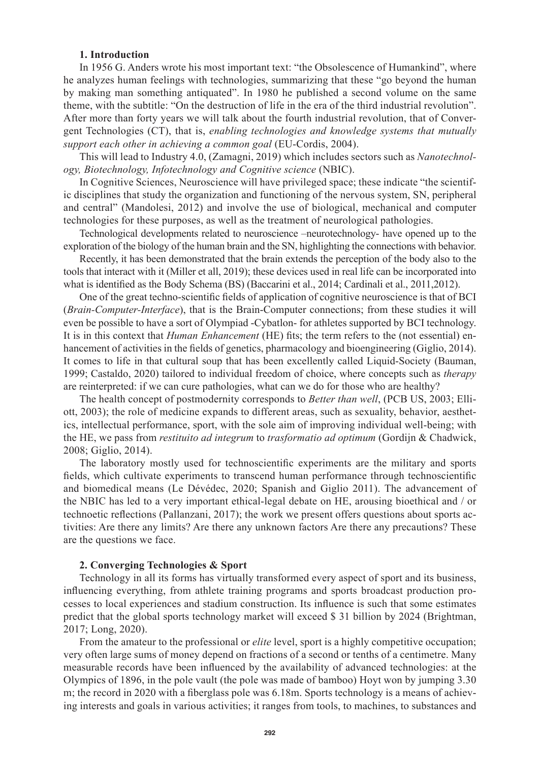## **1. Introduction**

In 1956 G. Anders wrote his most important text: "the Obsolescence of Humankind", where he analyzes human feelings with technologies, summarizing that these "go beyond the human by making man something antiquated". In 1980 he published a second volume on the same theme, with the subtitle: "On the destruction of life in the era of the third industrial revolution". After more than forty years we will talk about the fourth industrial revolution, that of Convergent Technologies (CT), that is, *enabling technologies and knowledge systems that mutually support each other in achieving a common goal* (EU-Cordis, 2004).

This will lead to Industry 4.0, (Zamagni, 2019) which includes sectors such as *Nanotechnology, Biotechnology, Infotechnology and Cognitive science* (NBIC).

In Cognitive Sciences, Neuroscience will have privileged space; these indicate "the scientific disciplines that study the organization and functioning of the nervous system, SN, peripheral and central" (Mandolesi, 2012) and involve the use of biological, mechanical and computer technologies for these purposes, as well as the treatment of neurological pathologies.

Technological developments related to neuroscience –neurotechnology- have opened up to the exploration of the biology of the human brain and the SN, highlighting the connections with behavior.

Recently, it has been demonstrated that the brain extends the perception of the body also to the tools that interact with it (Miller et all, 2019); these devices used in real life can be incorporated into what is identified as the Body Schema (BS) (Baccarini et al., 2014; Cardinali et al., 2011,2012).

One of the great techno-scientific fields of application of cognitive neuroscience is that of BCI (*Brain-Computer-Interface*), that is the Brain-Computer connections; from these studies it will even be possible to have a sort of Olympiad -Cybatlon- for athletes supported by BCI technology. It is in this context that *Human Enhancement* (HE) fits; the term refers to the (not essential) enhancement of activities in the fields of genetics, pharmacology and bioengineering (Giglio, 2014). It comes to life in that cultural soup that has been excellently called Liquid-Society (Bauman, 1999; Castaldo, 2020) tailored to individual freedom of choice, where concepts such as *therapy* are reinterpreted: if we can cure pathologies, what can we do for those who are healthy?

The health concept of postmodernity corresponds to *Better than well*, (PCB US, 2003; Elliott, 2003); the role of medicine expands to different areas, such as sexuality, behavior, aesthetics, intellectual performance, sport, with the sole aim of improving individual well-being; with the HE, we pass from *restituito ad integrum* to *trasformatio ad optimum* (Gordijn & Chadwick, 2008; Giglio, 2014).

The laboratory mostly used for technoscientific experiments are the military and sports fields, which cultivate experiments to transcend human performance through technoscientific and biomedical means (Le Dévédec, 2020; Spanish and Giglio 2011). The advancement of the NBIC has led to a very important ethical-legal debate on HE, arousing bioethical and / or technoetic reflections (Pallanzani, 2017); the work we present offers questions about sports activities: Are there any limits? Are there any unknown factors Are there any precautions? These are the questions we face.

#### **2. Converging Technologies & Sport**

Technology in all its forms has virtually transformed every aspect of sport and its business, influencing everything, from athlete training programs and sports broadcast production processes to local experiences and stadium construction. Its influence is such that some estimates predict that the global sports technology market will exceed \$ 31 billion by 2024 (Brightman, 2017; Long, 2020).

From the amateur to the professional or *elite* level, sport is a highly competitive occupation; very often large sums of money depend on fractions of a second or tenths of a centimetre. Many measurable records have been influenced by the availability of advanced technologies: at the Olympics of 1896, in the pole vault (the pole was made of bamboo) Hoyt won by jumping 3.30 m; the record in 2020 with a fiberglass pole was 6.18m. Sports technology is a means of achieving interests and goals in various activities; it ranges from tools, to machines, to substances and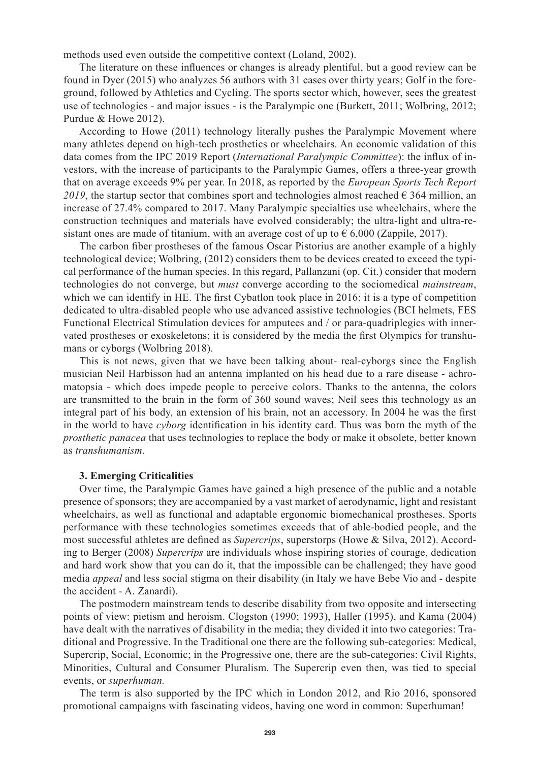methods used even outside the competitive context (Loland, 2002).

The literature on these influences or changes is already plentiful, but a good review can be found in Dyer (2015) who analyzes 56 authors with 31 cases over thirty years; Golf in the foreground, followed by Athletics and Cycling. The sports sector which, however, sees the greatest use of technologies - and major issues - is the Paralympic one (Burkett, 2011; Wolbring, 2012; Purdue & Howe 2012).

According to Howe (2011) technology literally pushes the Paralympic Movement where many athletes depend on high-tech prosthetics or wheelchairs. An economic validation of this data comes from the IPC 2019 Report (*International Paralympic Committee*): the influx of investors, with the increase of participants to the Paralympic Games, offers a three-year growth that on average exceeds 9% per year. In 2018, as reported by the *European Sports Tech Report 2019*, the startup sector that combines sport and technologies almost reached  $\epsilon$  364 million, an increase of 27.4% compared to 2017. Many Paralympic specialties use wheelchairs, where the construction techniques and materials have evolved considerably; the ultra-light and ultra-resistant ones are made of titanium, with an average cost of up to  $\epsilon$  6,000 (Zappile, 2017).

The carbon fiber prostheses of the famous Oscar Pistorius are another example of a highly technological device; Wolbring, (2012) considers them to be devices created to exceed the typical performance of the human species. In this regard, Pallanzani (op. Cit.) consider that modern technologies do not converge, but *must* converge according to the sociomedical *mainstream*, which we can identify in HE. The first Cybatlon took place in 2016: it is a type of competition dedicated to ultra-disabled people who use advanced assistive technologies (BCI helmets, FES Functional Electrical Stimulation devices for amputees and / or para-quadriplegics with innervated prostheses or exoskeletons; it is considered by the media the first Olympics for transhumans or cyborgs (Wolbring 2018).

This is not news, given that we have been talking about- real-cyborgs since the English musician Neil Harbisson had an antenna implanted on his head due to a rare disease - achromatopsia - which does impede people to perceive colors. Thanks to the antenna, the colors are transmitted to the brain in the form of 360 sound waves; Neil sees this technology as an integral part of his body, an extension of his brain, not an accessory. In 2004 he was the first in the world to have *cyborg* identification in his identity card. Thus was born the myth of the *prosthetic panacea* that uses technologies to replace the body or make it obsolete, better known as *transhumanism*.

#### **3. Emerging Criticalities**

Over time, the Paralympic Games have gained a high presence of the public and a notable presence of sponsors; they are accompanied by a vast market of aerodynamic, light and resistant wheelchairs, as well as functional and adaptable ergonomic biomechanical prostheses. Sports performance with these technologies sometimes exceeds that of able-bodied people, and the most successful athletes are defined as *Supercrips*, superstorps (Howe & Silva, 2012). According to Berger (2008) *Supercrips* are individuals whose inspiring stories of courage, dedication and hard work show that you can do it, that the impossible can be challenged; they have good media *appeal* and less social stigma on their disability (in Italy we have Bebe Vio and - despite the accident - A. Zanardi).

The postmodern mainstream tends to describe disability from two opposite and intersecting points of view: pietism and heroism. Clogston (1990; 1993), Haller (1995), and Kama (2004) have dealt with the narratives of disability in the media; they divided it into two categories: Traditional and Progressive. In the Traditional one there are the following sub-categories: Medical, Supercrip, Social, Economic; in the Progressive one, there are the sub-categories: Civil Rights, Minorities, Cultural and Consumer Pluralism. The Supercrip even then, was tied to special events, or *superhuman.*

The term is also supported by the IPC which in London 2012, and Rio 2016, sponsored promotional campaigns with fascinating videos, having one word in common: Superhuman!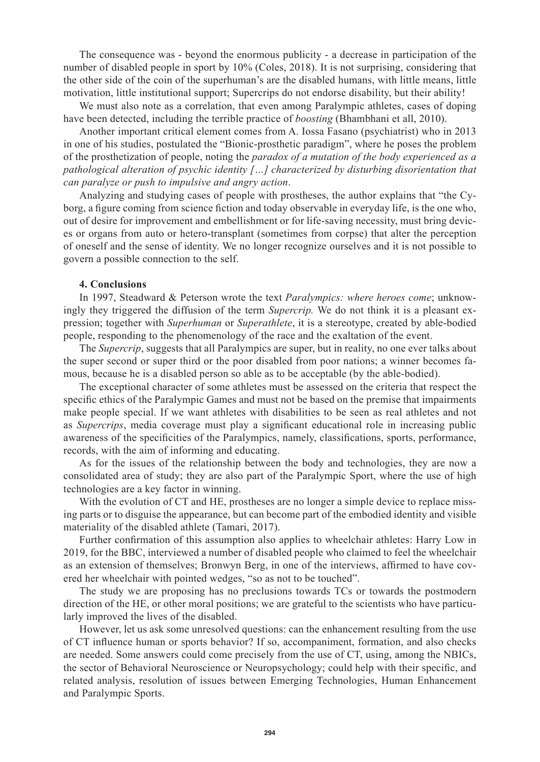The consequence was - beyond the enormous publicity - a decrease in participation of the number of disabled people in sport by 10% (Coles, 2018). It is not surprising, considering that the other side of the coin of the superhuman's are the disabled humans, with little means, little motivation, little institutional support; Supercrips do not endorse disability, but their ability!

We must also note as a correlation, that even among Paralympic athletes, cases of doping have been detected, including the terrible practice of *boosting* (Bhambhani et all, 2010).

Another important critical element comes from A. Iossa Fasano (psychiatrist) who in 2013 in one of his studies, postulated the "Bionic-prosthetic paradigm", where he poses the problem of the prosthetization of people, noting the *paradox of a mutation of the body experienced as a pathological alteration of psychic identity […] characterized by disturbing disorientation that can paralyze or push to impulsive and angry action*.

Analyzing and studying cases of people with prostheses, the author explains that "the Cyborg, a figure coming from science fiction and today observable in everyday life, is the one who, out of desire for improvement and embellishment or for life-saving necessity, must bring devices or organs from auto or hetero-transplant (sometimes from corpse) that alter the perception of oneself and the sense of identity. We no longer recognize ourselves and it is not possible to govern a possible connection to the self.

#### **4. Conclusions**

In 1997, Steadward & Peterson wrote the text *Paralympics: where heroes come*; unknowingly they triggered the diffusion of the term *Supercrip.* We do not think it is a pleasant expression; together with *Superhuman* or *Superathlete*, it is a stereotype, created by able-bodied people, responding to the phenomenology of the race and the exaltation of the event.

The *Supercrip*, suggests that all Paralympics are super, but in reality, no one ever talks about the super second or super third or the poor disabled from poor nations; a winner becomes famous, because he is a disabled person so able as to be acceptable (by the able-bodied).

The exceptional character of some athletes must be assessed on the criteria that respect the specific ethics of the Paralympic Games and must not be based on the premise that impairments make people special. If we want athletes with disabilities to be seen as real athletes and not as *Supercrips*, media coverage must play a significant educational role in increasing public awareness of the specificities of the Paralympics, namely, classifications, sports, performance, records, with the aim of informing and educating.

As for the issues of the relationship between the body and technologies, they are now a consolidated area of study; they are also part of the Paralympic Sport, where the use of high technologies are a key factor in winning.

With the evolution of CT and HE, prostheses are no longer a simple device to replace missing parts or to disguise the appearance, but can become part of the embodied identity and visible materiality of the disabled athlete (Tamari, 2017).

Further confirmation of this assumption also applies to wheelchair athletes: Harry Low in 2019, for the BBC, interviewed a number of disabled people who claimed to feel the wheelchair as an extension of themselves; Bronwyn Berg, in one of the interviews, affirmed to have covered her wheelchair with pointed wedges, "so as not to be touched".

The study we are proposing has no preclusions towards TCs or towards the postmodern direction of the HE, or other moral positions; we are grateful to the scientists who have particularly improved the lives of the disabled.

However, let us ask some unresolved questions: can the enhancement resulting from the use of CT influence human or sports behavior? If so, accompaniment, formation, and also checks are needed. Some answers could come precisely from the use of CT, using, among the NBICs, the sector of Behavioral Neuroscience or Neuropsychology; could help with their specific, and related analysis, resolution of issues between Emerging Technologies, Human Enhancement and Paralympic Sports.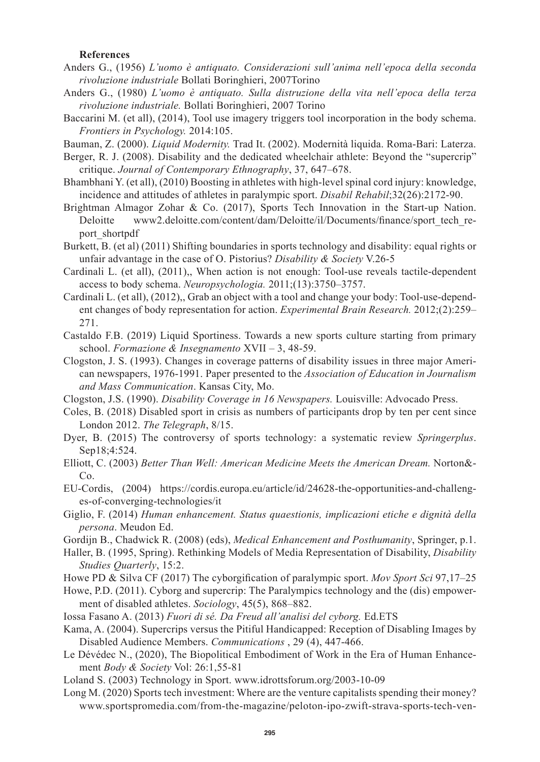## **References**

- Anders G., (1956) *L'uomo è antiquato. Considerazioni sull'anima nell'epoca della seconda rivoluzione industriale* Bollati Boringhieri, 2007Torino
- Anders G., (1980) *L'uomo è antiquato. Sulla distruzione della vita nell'epoca della terza rivoluzione industriale.* Bollati Boringhieri, 2007 Torino
- Baccarini M. (et all), (2014), Tool use imagery triggers tool incorporation in the body schema. *Frontiers in Psychology.* 2014:105.
- Bauman, Z. (2000). *Liquid Modernity.* Trad It. (2002). Modernità liquida. Roma-Bari: Laterza.
- Berger, R. J. (2008). Disability and the dedicated wheelchair athlete: Beyond the "supercrip" critique. *Journal of Contemporary Ethnography*, 37, 647–678.
- Bhambhani Y. (et all), (2010) Boosting in athletes with high-level spinal cord injury: knowledge, incidence and attitudes of athletes in paralympic sport. *Disabil Rehabil*;32(26):2172-90.
- Brightman Almagor Zohar & Co. (2017), Sports Tech Innovation in the Start-up Nation. Deloitte www2.deloitte.com/content/dam/Deloitte/il/Documents/finance/sport\_tech\_report\_shortpdf
- Burkett, B. (et al) (2011) Shifting boundaries in sports technology and disability: equal rights or unfair advantage in the case of O. Pistorius? *Disability & Society* V.26-5
- Cardinali L. (et all), (2011),, When action is not enough: Tool-use reveals tactile-dependent access to body schema. *Neuropsychologia.* 2011;(13):3750–3757.
- Cardinali L. (et all), (2012),, Grab an object with a tool and change your body: Tool-use-dependent changes of body representation for action. *Experimental Brain Research.* 2012;(2):259– 271.
- Castaldo F.B. (2019) Liquid Sportiness. Towards a new sports culture starting from primary school. *Formazione & Insegnamento* XVII – 3, 48-59.
- Clogston, J. S. (1993). Changes in coverage patterns of disability issues in three major American newspapers, 1976-1991. Paper presented to the *Association of Education in Journalism and Mass Communication*. Kansas City, Mo.
- Clogston, J.S. (1990). *Disability Coverage in 16 Newspapers.* Louisville: Advocado Press.
- Coles, B. (2018) Disabled sport in crisis as numbers of participants drop by ten per cent since London 2012. *The Telegraph*, 8/15.
- Dyer, B. (2015) The controversy of sports technology: a systematic review *Springerplus*. Sep18;4:524.
- Elliott, C. (2003) *Better Than Well: American Medicine Meets the American Dream.* Norton&- Co.
- EU-Cordis, (2004) https://cordis.europa.eu/article/id/24628-the-opportunities-and-challenges-of-converging-technologies/it
- Giglio, F. (2014) *Human enhancement. Status quaestionis, implicazioni etiche e dignità della persona*. Meudon Ed.
- Gordijn B., Chadwick R. (2008) (eds), *Medical Enhancement and Posthumanity*, Springer, p.1.
- Haller, B. (1995, Spring). Rethinking Models of Media Representation of Disability, *Disability Studies Quarterly*, 15:2.
- Howe PD & Silva CF (2017) The cyborgification of paralympic sport. *Mov Sport Sci* 97,17–25
- Howe, P.D. (2011). Cyborg and supercrip: The Paralympics technology and the (dis) empowerment of disabled athletes. *Sociology*, 45(5), 868–882.
- Iossa Fasano A. (2013) *Fuori di sé. Da Freud all'analisi del cyborg.* Ed.ETS
- Kama, A. (2004). Supercrips versus the Pitiful Handicapped: Reception of Disabling Images by Disabled Audience Members. *Communications* , 29 (4), 447-466.
- Le Dévédec N., (2020), The Biopolitical Embodiment of Work in the Era of Human Enhancement *Body & Society* Vol: 26:1,55-81
- Loland S. (2003) Technology in Sport. www.idrottsforum.org/2003-10-09
- Long M. (2020) Sports tech investment: Where are the venture capitalists spending their money? www.sportspromedia.com/from-the-magazine/peloton-ipo-zwift-strava-sports-tech-ven-